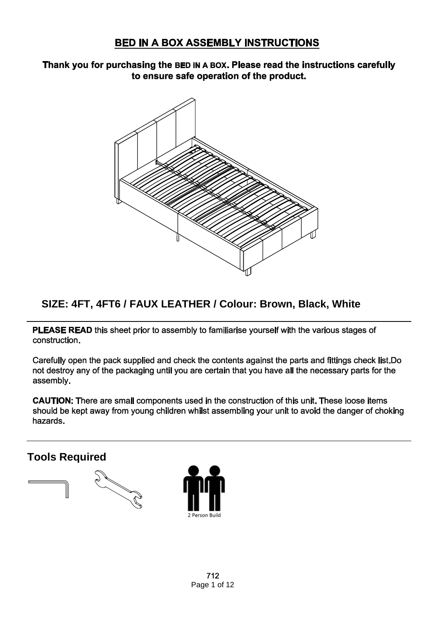#### Thank you for purchasing the BED IN A BOX. Please read the instructions carefully to ensure safe operation of the product.



### **SIZE: 4FT, 4FT6 / FAUX LEATHER / Colour: Brown, Black, White**

PLEASE READ this sheet prior to assembly to familiarise yourself with the various stages of construction.

Carefully open the pack supplied and check the contents against the parts and fittings check list. Do not destroy any of the packaging until you are certain that you have all the necessary parts for the assembly.

CAUTION: There are small components used in the construction of this unit. These loose items should be kept away from young children whilst assembling your unit to avoid the danger of choking hazards.

**Tools Required**



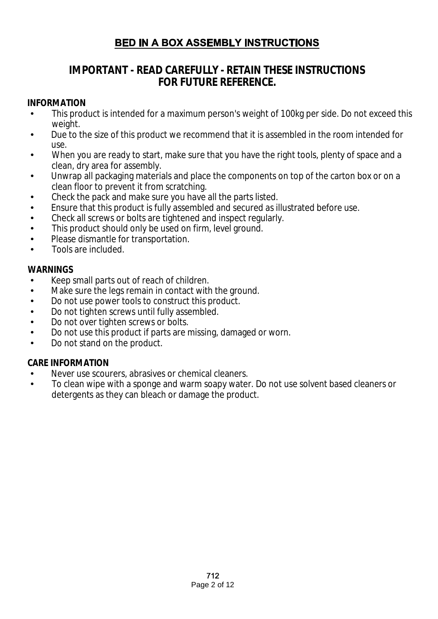### **IMPORTANT - READ CAREFULLY - RETAIN THESE INSTRUCTIONS FOR FUTURE REFERENCE.**

#### **INFORMATION**

- This product is intended for a maximum person's weight of 100kg per side. Do not exceed this weight.
- Due to the size of this product we recommend that it is assembled in the room intended for  $\overline{a}$ use.
- When you are ready to start, make sure that you have the right tools, plenty of space and a clean, dry area for assembly.
- Unwrap all packaging materials and place the components on top of the carton box or on a clean floor to prevent it from scratching.
- Check the pack and make sure you have all the parts listed.
- Ensure that this product is fully assembled and secured as illustrated before use. l,
- Check all screws or bolts are tightened and inspect regularly.
- This product should only be used on firm, level ground. l,
- Please dismantle for transportation.
- Tools are included.

#### **WARNINGS**

- Keep small parts out of reach of children.
- Make sure the legs remain in contact with the ground. j.
- Do not use power tools to construct this product.
- Do not tighten screws until fully assembled.  $\overline{a}$
- Do not over tighten screws or bolts.
- Do not use this product if parts are missing, damaged or worn. J.
- Do not stand on the product. t.

#### **CARE INFORMATION**

- Never use scourers, abrasives or chemical cleaners.
- To clean wipe with a sponge and warm soapy water. Do not use solvent based cleaners or detergents as they can bleach or damage the product.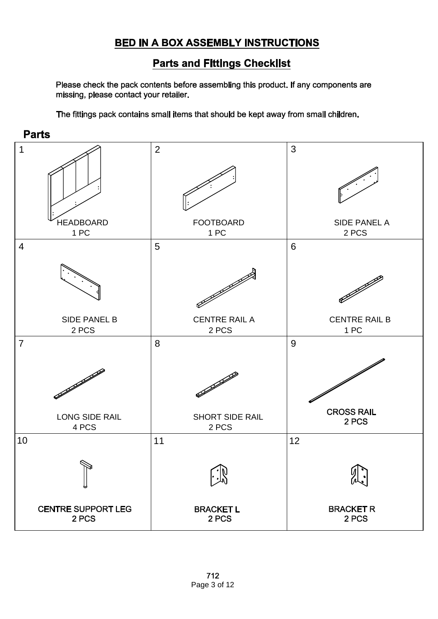### **Parts and Fittings Checklist**

Please check the pack contents before assembling this product. If any components are missing, please contact your retailer.

The fittings pack contains small items that should be kept away from small children.



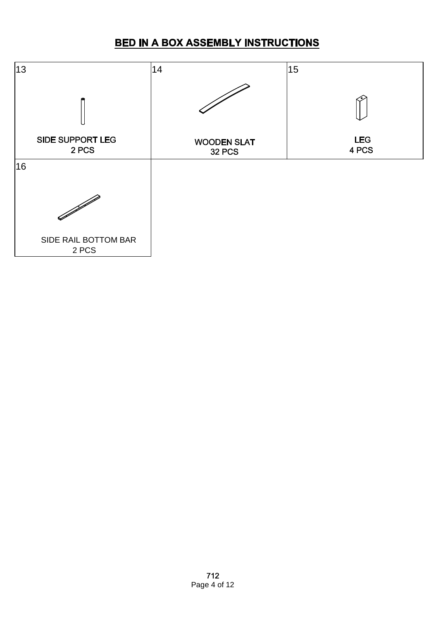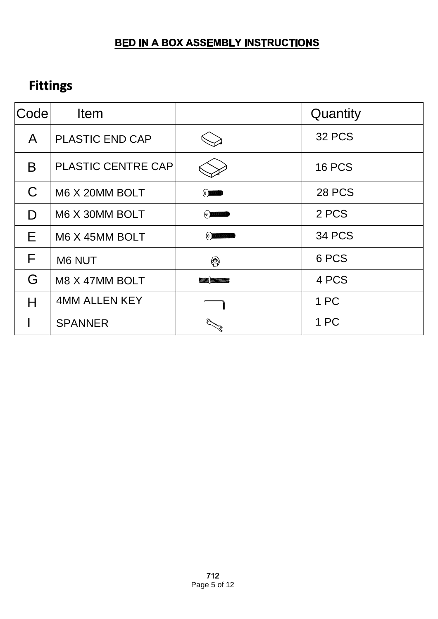# **Fittings**

| Codel        | Item                      |                                         | Quantity      |
|--------------|---------------------------|-----------------------------------------|---------------|
| A            | <b>PLASTIC END CAP</b>    |                                         | <b>32 PCS</b> |
| B            | <b>PLASTIC CENTRE CAP</b> |                                         | <b>16 PCS</b> |
| $\mathsf{C}$ | M6 X 20MM BOLT            |                                         | <b>28 PCS</b> |
| D            | M6 X 30MM BOLT            | (e)                                     | 2 PCS         |
| E            | M6 X 45MM BOLT            | $(\theta)$                              | <b>34 PCS</b> |
| F            | M6 NUT                    | ◎                                       | 6 PCS         |
| G            | M8 X 47MM BOLT            | <i><b><i>III</i> ANNAIONNIMAIGE</b></i> | 4 PCS         |
| Н            | <b>4MM ALLEN KEY</b>      |                                         | 1 PC          |
|              | <b>SPANNER</b>            |                                         | 1 PC          |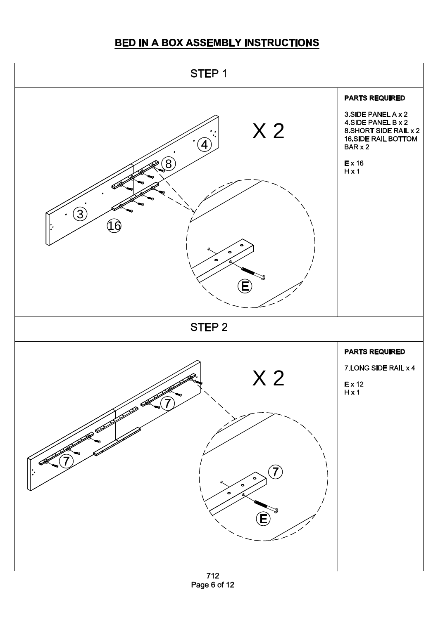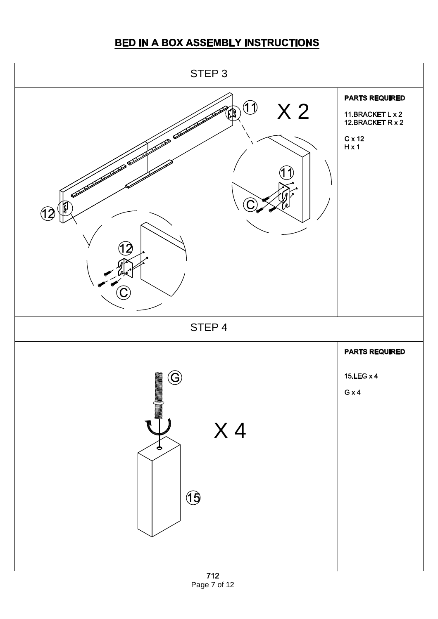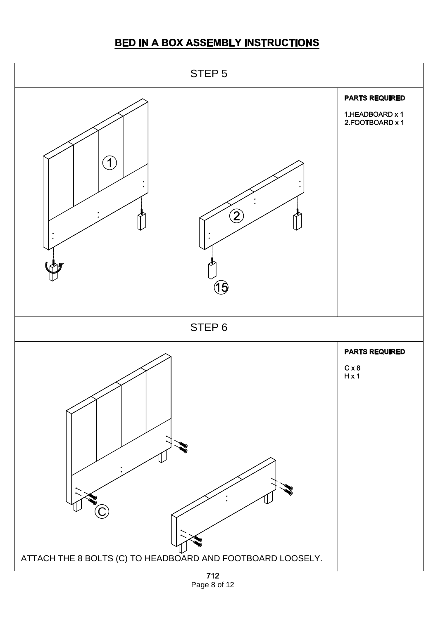

Page 8 of 12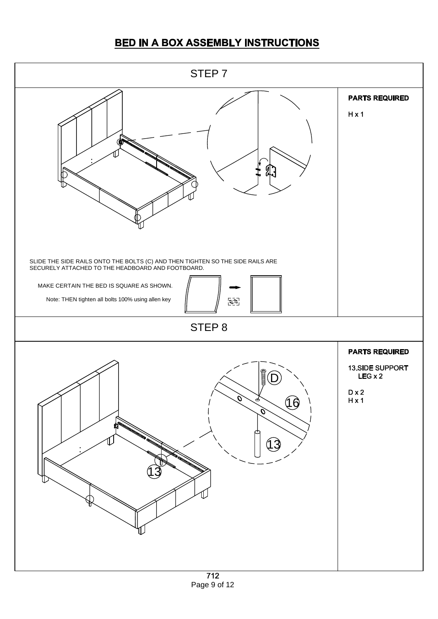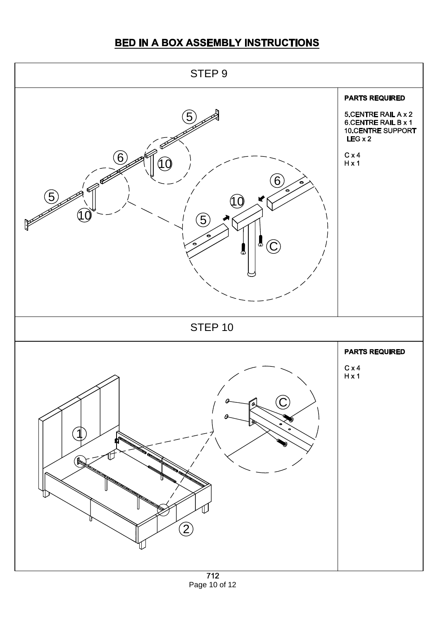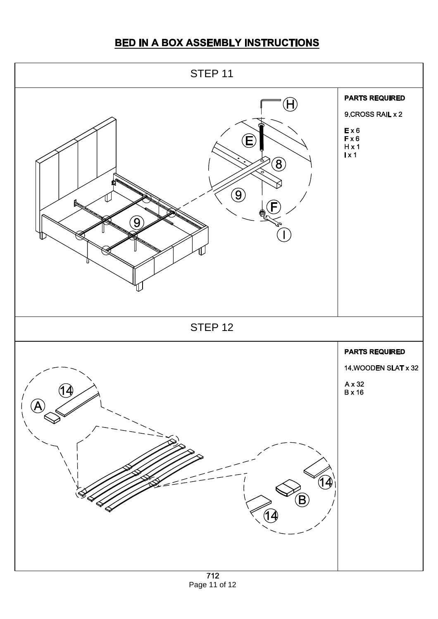